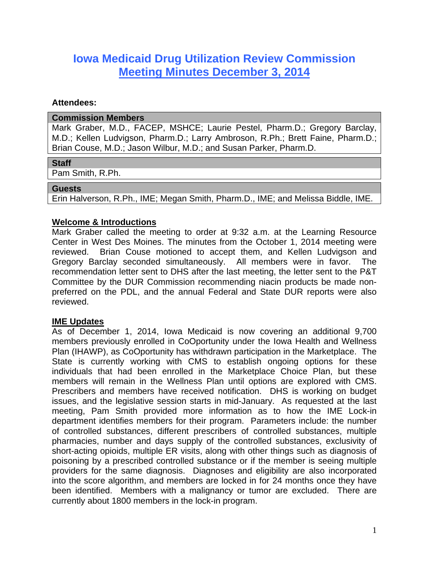# **Iowa Medicaid Drug Utilization Review Commission Meeting Minutes December 3, 2014**

#### **Attendees:**

#### **Commission Members**

Mark Graber, M.D., FACEP, MSHCE; Laurie Pestel, Pharm.D.; Gregory Barclay, M.D.; Kellen Ludvigson, Pharm.D.; Larry Ambroson, R.Ph.; Brett Faine, Pharm.D.; Brian Couse, M.D.; Jason Wilbur, M.D.; and Susan Parker, Pharm.D.

#### **Staff**

Pam Smith, R.Ph.

#### **Guests**

Erin Halverson, R.Ph., IME; Megan Smith, Pharm.D., IME; and Melissa Biddle, IME.

# **Welcome & Introductions**

Mark Graber called the meeting to order at 9:32 a.m. at the Learning Resource Center in West Des Moines. The minutes from the October 1, 2014 meeting were reviewed. Brian Couse motioned to accept them, and Kellen Ludvigson and Gregory Barclay seconded simultaneously. All members were in favor. The recommendation letter sent to DHS after the last meeting, the letter sent to the P&T Committee by the DUR Commission recommending niacin products be made nonpreferred on the PDL, and the annual Federal and State DUR reports were also reviewed.

#### **IME Updates**

As of December 1, 2014, Iowa Medicaid is now covering an additional 9,700 members previously enrolled in CoOportunity under the Iowa Health and Wellness Plan (IHAWP), as CoOportunity has withdrawn participation in the Marketplace. The State is currently working with CMS to establish ongoing options for these individuals that had been enrolled in the Marketplace Choice Plan, but these members will remain in the Wellness Plan until options are explored with CMS. Prescribers and members have received notification. DHS is working on budget issues, and the legislative session starts in mid-January. As requested at the last meeting, Pam Smith provided more information as to how the IME Lock-in department identifies members for their program. Parameters include: the number of controlled substances, different prescribers of controlled substances, multiple pharmacies, number and days supply of the controlled substances, exclusivity of short-acting opioids, multiple ER visits, along with other things such as diagnosis of poisoning by a prescribed controlled substance or if the member is seeing multiple providers for the same diagnosis. Diagnoses and eligibility are also incorporated into the score algorithm, and members are locked in for 24 months once they have been identified. Members with a malignancy or tumor are excluded. There are currently about 1800 members in the lock-in program.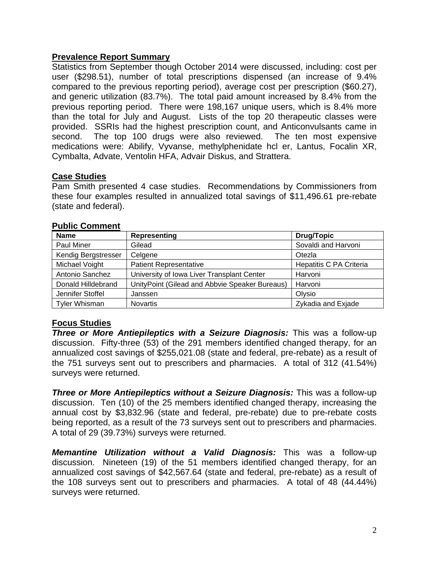## **Prevalence Report Summary**

Statistics from September though October 2014 were discussed, including: cost per user (\$298.51), number of total prescriptions dispensed (an increase of 9.4% compared to the previous reporting period), average cost per prescription (\$60.27), and generic utilization (83.7%). The total paid amount increased by 8.4% from the previous reporting period. There were 198,167 unique users, which is 8.4% more than the total for July and August. Lists of the top 20 therapeutic classes were provided. SSRIs had the highest prescription count, and Anticonvulsants came in second. The top 100 drugs were also reviewed. The ten most expensive medications were: Abilify, Vyvanse, methylphenidate hcl er, Lantus, Focalin XR, Cymbalta, Advate, Ventolin HFA, Advair Diskus, and Strattera.

## **Case Studies**

Pam Smith presented 4 case studies. Recommendations by Commissioners from these four examples resulted in annualized total savings of \$11,496.61 pre-rebate (state and federal).

| <b>Name</b>          | Representing                                   | <b>Drug/Topic</b>       |
|----------------------|------------------------------------------------|-------------------------|
| Paul Miner           | Gilead                                         | Sovaldi and Harvoni     |
| Kendig Bergstresser  | Celgene                                        | Otezla                  |
| Michael Voight       | <b>Patient Representative</b>                  | Hepatitis C PA Criteria |
| Antonio Sanchez      | University of Iowa Liver Transplant Center     | Harvoni                 |
| Donald Hilldebrand   | UnityPoint (Gilead and Abbvie Speaker Bureaus) | Harvoni                 |
| Jennifer Stoffel     | Janssen                                        | Olysio                  |
| <b>Tyler Whisman</b> | <b>Novartis</b>                                | Zykadia and Exjade      |

#### **Public Comment**

# **Focus Studies**

*Three or More Antiepileptics with a Seizure Diagnosis:* This was a follow-up discussion. Fifty-three (53) of the 291 members identified changed therapy, for an annualized cost savings of \$255,021.08 (state and federal, pre-rebate) as a result of the 751 surveys sent out to prescribers and pharmacies. A total of 312 (41.54%) surveys were returned.

*Three or More Antiepileptics without a Seizure Diagnosis: This was a follow-up* discussion. Ten (10) of the 25 members identified changed therapy, increasing the annual cost by \$3,832.96 (state and federal, pre-rebate) due to pre-rebate costs being reported, as a result of the 73 surveys sent out to prescribers and pharmacies. A total of 29 (39.73%) surveys were returned.

*Memantine Utilization without a Valid Diagnosis:* This was a follow-up discussion. Nineteen (19) of the 51 members identified changed therapy, for an annualized cost savings of \$42,567.64 (state and federal, pre-rebate) as a result of the 108 surveys sent out to prescribers and pharmacies. A total of 48 (44.44%) surveys were returned.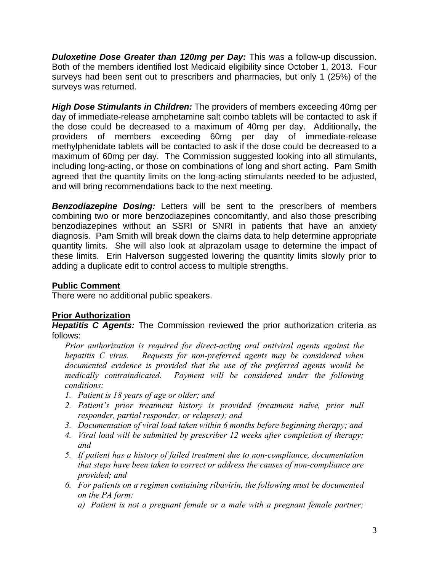*Duloxetine Dose Greater than 120mg per Day:* This was a follow-up discussion. Both of the members identified lost Medicaid eligibility since October 1, 2013. Four surveys had been sent out to prescribers and pharmacies, but only 1 (25%) of the surveys was returned.

*High Dose Stimulants in Children:* The providers of members exceeding 40mg per day of immediate-release amphetamine salt combo tablets will be contacted to ask if the dose could be decreased to a maximum of 40mg per day. Additionally, the providers of members exceeding 60mg per day of immediate-release methylphenidate tablets will be contacted to ask if the dose could be decreased to a maximum of 60mg per day. The Commission suggested looking into all stimulants, including long-acting, or those on combinations of long and short acting. Pam Smith agreed that the quantity limits on the long-acting stimulants needed to be adjusted, and will bring recommendations back to the next meeting.

*Benzodiazepine Dosing:* Letters will be sent to the prescribers of members combining two or more benzodiazepines concomitantly, and also those prescribing benzodiazepines without an SSRI or SNRI in patients that have an anxiety diagnosis. Pam Smith will break down the claims data to help determine appropriate quantity limits. She will also look at alprazolam usage to determine the impact of these limits. Erin Halverson suggested lowering the quantity limits slowly prior to adding a duplicate edit to control access to multiple strengths.

#### **Public Comment**

There were no additional public speakers.

# **Prior Authorization**

*Hepatitis C Agents:* The Commission reviewed the prior authorization criteria as follows:

*Prior authorization is required for direct-acting oral antiviral agents against the hepatitis C virus. Requests for non-preferred agents may be considered when documented evidence is provided that the use of the preferred agents would be medically contraindicated. Payment will be considered under the following conditions:* 

- *1. Patient is 18 years of age or older; and*
- *2. Patient's prior treatment history is provided (treatment naïve, prior null responder, partial responder, or relapser); and*
- *3. Documentation of viral load taken within 6 months before beginning therapy; and*
- *4. Viral load will be submitted by prescriber 12 weeks after completion of therapy; and*
- *5. If patient has a history of failed treatment due to non-compliance, documentation that steps have been taken to correct or address the causes of non-compliance are provided; and*
- *6. For patients on a regimen containing ribavirin, the following must be documented on the PA form:* 
	- *a) Patient is not a pregnant female or a male with a pregnant female partner;*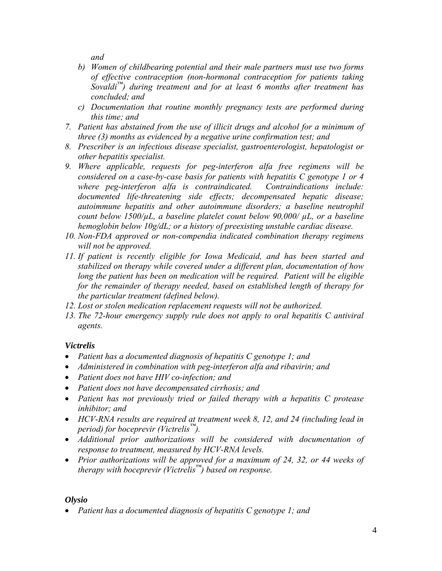*and* 

- *b) Women of childbearing potential and their male partners must use two forms of effective contraception (non-hormonal contraception for patients taking Sovaldi™) during treatment and for at least 6 months after treatment has concluded; and*
- *c) Documentation that routine monthly pregnancy tests are performed during this time; and*
- *7. Patient has abstained from the use of illicit drugs and alcohol for a minimum of three (3) months as evidenced by a negative urine confirmation test; and*
- *8. Prescriber is an infectious disease specialist, gastroenterologist, hepatologist or other hepatitis specialist.*
- *9. Where applicable, requests for peg-interferon alfa free regimens will be considered on a case-by-case basis for patients with hepatitis C genotype 1 or 4 where peg-interferon alfa is contraindicated. Contraindications include: documented life-threatening side effects; decompensated hepatic disease; autoimmune hepatitis and other autoimmune disorders; a baseline neutrophil count below 1500/µL, a baseline platelet count below 90,000/ µL, or a baseline hemoglobin below 10g/dL; or a history of preexisting unstable cardiac disease.*
- *10. Non-FDA approved or non-compendia indicated combination therapy regimens will not be approved.*
- *11. If patient is recently eligible for Iowa Medicaid, and has been started and stabilized on therapy while covered under a different plan, documentation of how*  long the patient has been on medication will be required. Patient will be eligible *for the remainder of therapy needed, based on established length of therapy for the particular treatment (defined below).*
- *12. Lost or stolen medication replacement requests will not be authorized.*
- *13. The 72-hour emergency supply rule does not apply to oral hepatitis C antiviral agents.*

# *Victrelis*

- *Patient has a documented diagnosis of hepatitis C genotype 1; and*
- *Administered in combination with peg-interferon alfa and ribavirin; and*
- *Patient does not have HIV co-infection; and*
- *Patient does not have decompensated cirrhosis; and*
- *Patient has not previously tried or failed therapy with a hepatitis C protease inhibitor; and*
- *HCV-RNA results are required at treatment week 8, 12, and 24 (including lead in period) for boceprevir (Victrelis™).*
- *Additional prior authorizations will be considered with documentation of response to treatment, measured by HCV-RNA levels.*
- *Prior authorizations will be approved for a maximum of 24, 32, or 44 weeks of therapy with boceprevir (Victrelis™) based on response.*

# *Olysio*

*Patient has a documented diagnosis of hepatitis C genotype 1; and*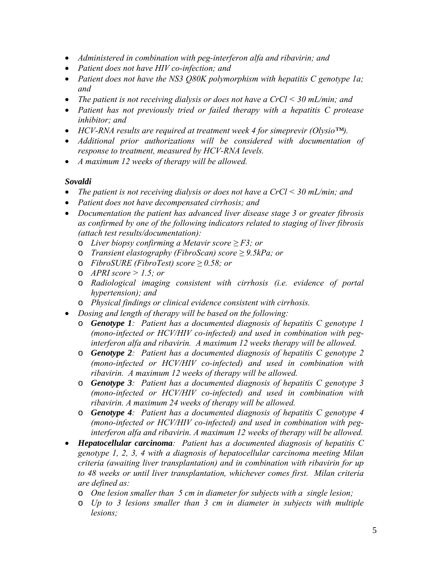- *Administered in combination with peg-interferon alfa and ribavirin; and*
- *Patient does not have HIV co-infection; and*
- *Patient does not have the NS3 Q80K polymorphism with hepatitis C genotype 1a; and*
- *The patient is not receiving dialysis or does not have a CrCl < 30 mL/min; and*
- *Patient has not previously tried or failed therapy with a hepatitis C protease inhibitor; and*
- *HCV-RNA results are required at treatment week 4 for simeprevir (Olysio™).*
- *Additional prior authorizations will be considered with documentation of response to treatment, measured by HCV-RNA levels.*
- *A maximum 12 weeks of therapy will be allowed.*

## *Sovaldi*

- *The patient is not receiving dialysis or does not have a CrCl < 30 mL/min; and*
- *Patient does not have decompensated cirrhosis; and*
- *Documentation the patient has advanced liver disease stage 3 or greater fibrosis as confirmed by one of the following indicators related to staging of liver fibrosis (attach test results/documentation):* 
	- o *Liver biopsy confirming a Metavir score ≥ F3; or*
	- o *Transient elastography (FibroScan) score ≥ 9.5kPa; or*
	- o *FibroSURE (FibroTest) score ≥ 0.58; or*
	- o *APRI score > 1.5; or*
	- o *Radiological imaging consistent with cirrhosis (i.e. evidence of portal hypertension); and*
	- o *Physical findings or clinical evidence consistent with cirrhosis.*
- *Dosing and length of therapy will be based on the following:* 
	- o *Genotype 1: Patient has a documented diagnosis of hepatitis C genotype 1 (mono-infected or HCV/HIV co-infected) and used in combination with peginterferon alfa and ribavirin. A maximum 12 weeks therapy will be allowed.*
	- o *Genotype 2: Patient has a documented diagnosis of hepatitis C genotype 2 (mono-infected or HCV/HIV co-infected) and used in combination with ribavirin. A maximum 12 weeks of therapy will be allowed.*
	- o *Genotype 3: Patient has a documented diagnosis of hepatitis C genotype 3 (mono-infected or HCV/HIV co-infected) and used in combination with ribavirin. A maximum 24 weeks of therapy will be allowed.*
	- o *Genotype 4: Patient has a documented diagnosis of hepatitis C genotype 4 (mono-infected or HCV/HIV co-infected) and used in combination with peginterferon alfa and ribavirin. A maximum 12 weeks of therapy will be allowed.*
- *Hepatocellular carcinoma: Patient has a documented diagnosis of hepatitis C genotype 1, 2, 3, 4 with a diagnosis of hepatocellular carcinoma meeting Milan criteria (awaiting liver transplantation) and in combination with ribavirin for up to 48 weeks or until liver transplantation, whichever comes first. Milan criteria are defined as:* 
	- o *One lesion smaller than 5 cm in diameter for subjects with a single lesion;*
	- o *Up to 3 lesions smaller than 3 cm in diameter in subjects with multiple lesions;*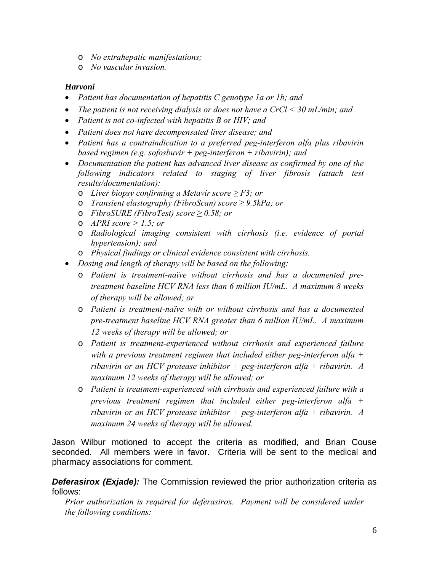- o *No extrahepatic manifestations;*
- o *No vascular invasion.*

#### *Harvoni*

- *Patient has documentation of hepatitis C genotype 1a or 1b; and*
- *The patient is not receiving dialysis or does not have a CrCl < 30 mL/min; and*
- *Patient is not co-infected with hepatitis B or HIV; and*
- *Patient does not have decompensated liver disease; and*
- *Patient has a contraindication to a preferred peg-interferon alfa plus ribavirin based regimen (e.g. sofosbuvir + peg-interferon + ribavirin); and*
- *Documentation the patient has advanced liver disease as confirmed by one of the following indicators related to staging of liver fibrosis (attach test results/documentation):* 
	- o *Liver biopsy confirming a Metavir score ≥ F3; or*
	- o *Transient elastography (FibroScan) score ≥ 9.5kPa; or*
	- o *FibroSURE (FibroTest) score ≥ 0.58; or*
	- o *APRI score > 1.5; or*
	- o *Radiological imaging consistent with cirrhosis (i.e. evidence of portal hypertension); and*
	- o *Physical findings or clinical evidence consistent with cirrhosis.*
- *Dosing and length of therapy will be based on the following:* 
	- o *Patient is treatment-naïve without cirrhosis and has a documented pretreatment baseline HCV RNA less than 6 million IU/mL. A maximum 8 weeks of therapy will be allowed; or*
	- o *Patient is treatment-naïve with or without cirrhosis and has a documented pre-treatment baseline HCV RNA greater than 6 million IU/mL. A maximum 12 weeks of therapy will be allowed; or*
	- o *Patient is treatment-experienced without cirrhosis and experienced failure with a previous treatment regimen that included either peg-interferon alfa + ribavirin or an HCV protease inhibitor + peg-interferon alfa + ribavirin. A maximum 12 weeks of therapy will be allowed; or*
	- o *Patient is treatment-experienced with cirrhosis and experienced failure with a previous treatment regimen that included either peg-interferon alfa + ribavirin or an HCV protease inhibitor + peg-interferon alfa + ribavirin. A maximum 24 weeks of therapy will be allowed.*

Jason Wilbur motioned to accept the criteria as modified, and Brian Couse seconded. All members were in favor. Criteria will be sent to the medical and pharmacy associations for comment.

**Deferasirox (Exjade):** The Commission reviewed the prior authorization criteria as follows:

*Prior authorization is required for deferasirox. Payment will be considered under the following conditions:*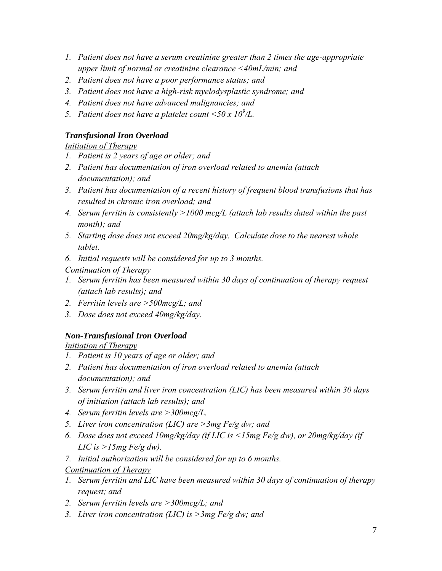- *1. Patient does not have a serum creatinine greater than 2 times the age-appropriate upper limit of normal or creatinine clearance <40mL/min; and*
- *2. Patient does not have a poor performance status; and*
- *3. Patient does not have a high-risk myelodysplastic syndrome; and*
- *4. Patient does not have advanced malignancies; and*
- 5. Patient does not have a platelet count  $\langle 50 \times 10^9 \rangle L$ .

## *Transfusional Iron Overload*

## *Initiation of Therapy*

- *1. Patient is 2 years of age or older; and*
- *2. Patient has documentation of iron overload related to anemia (attach documentation); and*
- *3. Patient has documentation of a recent history of frequent blood transfusions that has resulted in chronic iron overload; and*
- *4. Serum ferritin is consistently >1000 mcg/L (attach lab results dated within the past month); and*
- *5. Starting dose does not exceed 20mg/kg/day. Calculate dose to the nearest whole tablet.*
- *6. Initial requests will be considered for up to 3 months.*

# *Continuation of Therapy*

- *1. Serum ferritin has been measured within 30 days of continuation of therapy request (attach lab results); and*
- *2. Ferritin levels are >500mcg/L; and*
- *3. Dose does not exceed 40mg/kg/day.*

# *Non-Transfusional Iron Overload*

*Initiation of Therapy*

- *1. Patient is 10 years of age or older; and*
- *2. Patient has documentation of iron overload related to anemia (attach documentation); and*
- *3. Serum ferritin and liver iron concentration (LIC) has been measured within 30 days of initiation (attach lab results); and*
- *4. Serum ferritin levels are >300mcg/L.*
- *5. Liver iron concentration (LIC) are >3mg Fe/g dw; and*
- *6. Dose does not exceed 10mg/kg/day (if LIC is <15mg Fe/g dw), or 20mg/kg/day (if LIC is >15mg Fe/g dw).*
- *7. Initial authorization will be considered for up to 6 months.*

*Continuation of Therapy*

- *1. Serum ferritin and LIC have been measured within 30 days of continuation of therapy request; and*
- *2. Serum ferritin levels are >300mcg/L; and*
- *3. Liver iron concentration (LIC) is >3mg Fe/g dw; and*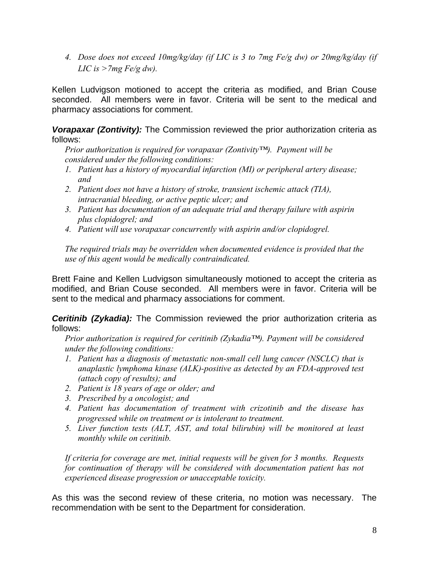*4. Dose does not exceed 10mg/kg/day (if LIC is 3 to 7mg Fe/g dw) or 20mg/kg/day (if LIC is >7mg Fe/g dw).* 

Kellen Ludvigson motioned to accept the criteria as modified, and Brian Couse seconded. All members were in favor. Criteria will be sent to the medical and pharmacy associations for comment.

*Vorapaxar (Zontivity):* The Commission reviewed the prior authorization criteria as follows:

*Prior authorization is required for vorapaxar (Zontivity™). Payment will be considered under the following conditions:* 

- *1. Patient has a history of myocardial infarction (MI) or peripheral artery disease; and*
- *2. Patient does not have a history of stroke, transient ischemic attack (TIA), intracranial bleeding, or active peptic ulcer; and*
- *3. Patient has documentation of an adequate trial and therapy failure with aspirin plus clopidogrel; and*
- *4. Patient will use vorapaxar concurrently with aspirin and/or clopidogrel.*

*The required trials may be overridden when documented evidence is provided that the use of this agent would be medically contraindicated.* 

Brett Faine and Kellen Ludvigson simultaneously motioned to accept the criteria as modified, and Brian Couse seconded. All members were in favor. Criteria will be sent to the medical and pharmacy associations for comment.

*Ceritinib (Zykadia):* The Commission reviewed the prior authorization criteria as follows:

*Prior authorization is required for ceritinib (Zykadia™). Payment will be considered under the following conditions:* 

- *1. Patient has a diagnosis of metastatic non-small cell lung cancer (NSCLC) that is anaplastic lymphoma kinase (ALK)-positive as detected by an FDA-approved test (attach copy of results); and*
- *2. Patient is 18 years of age or older; and*
- *3. Prescribed by a oncologist; and*
- *4. Patient has documentation of treatment with crizotinib and the disease has progressed while on treatment or is intolerant to treatment.*
- *5. Liver function tests (ALT, AST, and total bilirubin) will be monitored at least monthly while on ceritinib.*

*If criteria for coverage are met, initial requests will be given for 3 months. Requests for continuation of therapy will be considered with documentation patient has not experienced disease progression or unacceptable toxicity.* 

As this was the second review of these criteria, no motion was necessary. The recommendation with be sent to the Department for consideration.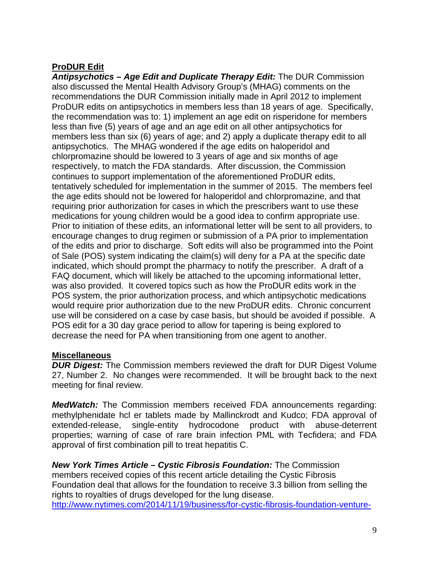# **ProDUR Edit**

*Antipsychotics – Age Edit and Duplicate Therapy Edit:* The DUR Commission also discussed the Mental Health Advisory Group's (MHAG) comments on the recommendations the DUR Commission initially made in April 2012 to implement ProDUR edits on antipsychotics in members less than 18 years of age. Specifically, the recommendation was to: 1) implement an age edit on risperidone for members less than five (5) years of age and an age edit on all other antipsychotics for members less than six (6) years of age; and 2) apply a duplicate therapy edit to all antipsychotics. The MHAG wondered if the age edits on haloperidol and chlorpromazine should be lowered to 3 years of age and six months of age respectively, to match the FDA standards. After discussion, the Commission continues to support implementation of the aforementioned ProDUR edits, tentatively scheduled for implementation in the summer of 2015. The members feel the age edits should not be lowered for haloperidol and chlorpromazine, and that requiring prior authorization for cases in which the prescribers want to use these medications for young children would be a good idea to confirm appropriate use. Prior to initiation of these edits, an informational letter will be sent to all providers, to encourage changes to drug regimen or submission of a PA prior to implementation of the edits and prior to discharge. Soft edits will also be programmed into the Point of Sale (POS) system indicating the claim(s) will deny for a PA at the specific date indicated, which should prompt the pharmacy to notify the prescriber. A draft of a FAQ document, which will likely be attached to the upcoming informational letter, was also provided. It covered topics such as how the ProDUR edits work in the POS system, the prior authorization process, and which antipsychotic medications would require prior authorization due to the new ProDUR edits. Chronic concurrent use will be considered on a case by case basis, but should be avoided if possible. A POS edit for a 30 day grace period to allow for tapering is being explored to decrease the need for PA when transitioning from one agent to another.

# **Miscellaneous**

*DUR Digest:* The Commission members reviewed the draft for DUR Digest Volume 27, Number 2. No changes were recommended. It will be brought back to the next meeting for final review.

*MedWatch:* The Commission members received FDA announcements regarding: methylphenidate hcl er tablets made by Mallinckrodt and Kudco; FDA approval of extended-release, single-entity hydrocodone product with abuse-deterrent properties; warning of case of rare brain infection PML with Tecfidera; and FDA approval of first combination pill to treat hepatitis C.

*New York Times Article – Cystic Fibrosis Foundation:* The Commission members received copies of this recent article detailing the Cystic Fibrosis Foundation deal that allows for the foundation to receive 3.3 billion from selling the rights to royalties of drugs developed for the lung disease. http://www.nytimes.com/2014/11/19/business/for-cystic-fibrosis-foundation-venture